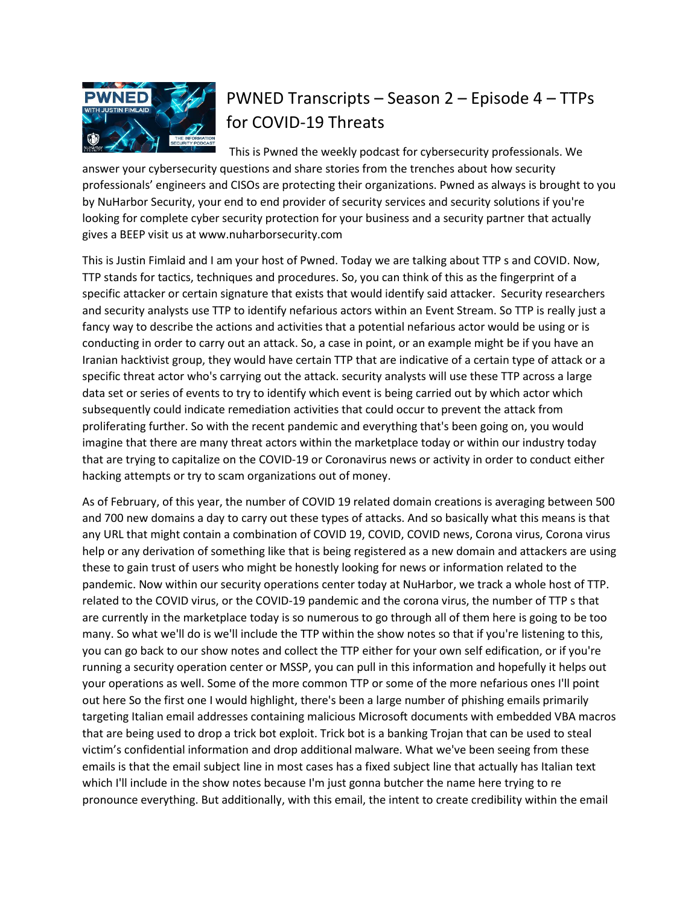

## PWNED Transcripts – Season 2 – Episode 4 – TTPs for COVID-19 Threats

This is Pwned the weekly podcast for cybersecurity professionals. We answer your cybersecurity questions and share stories from the trenches about how security professionals' engineers and CISOs are protecting their organizations. Pwned as always is brought to you by NuHarbor Security, your end to end provider of security services and security solutions if you're looking for complete cyber security protection for your business and a security partner that actually gives a BEEP visit us at www.nuharborsecurity.com

This is Justin Fimlaid and I am your host of Pwned. Today we are talking about TTP s and COVID. Now, TTP stands for tactics, techniques and procedures. So, you can think of this as the fingerprint of a specific attacker or certain signature that exists that would identify said attacker. Security researchers and security analysts use TTP to identify nefarious actors within an Event Stream. So TTP is really just a fancy way to describe the actions and activities that a potential nefarious actor would be using or is conducting in order to carry out an attack. So, a case in point, or an example might be if you have an Iranian hacktivist group, they would have certain TTP that are indicative of a certain type of attack or a specific threat actor who's carrying out the attack. security analysts will use these TTP across a large data set or series of events to try to identify which event is being carried out by which actor which subsequently could indicate remediation activities that could occur to prevent the attack from proliferating further. So with the recent pandemic and everything that's been going on, you would imagine that there are many threat actors within the marketplace today or within our industry today that are trying to capitalize on the COVID-19 or Coronavirus news or activity in order to conduct either hacking attempts or try to scam organizations out of money.

As of February, of this year, the number of COVID 19 related domain creations is averaging between 500 and 700 new domains a day to carry out these types of attacks. And so basically what this means is that any URL that might contain a combination of COVID 19, COVID, COVID news, Corona virus, Corona virus help or any derivation of something like that is being registered as a new domain and attackers are using these to gain trust of users who might be honestly looking for news or information related to the pandemic. Now within our security operations center today at NuHarbor, we track a whole host of TTP. related to the COVID virus, or the COVID-19 pandemic and the corona virus, the number of TTP s that are currently in the marketplace today is so numerous to go through all of them here is going to be too many. So what we'll do is we'll include the TTP within the show notes so that if you're listening to this, you can go back to our show notes and collect the TTP either for your own self edification, or if you're running a security operation center or MSSP, you can pull in this information and hopefully it helps out your operations as well. Some of the more common TTP or some of the more nefarious ones I'll point out here So the first one I would highlight, there's been a large number of phishing emails primarily targeting Italian email addresses containing malicious Microsoft documents with embedded VBA macros that are being used to drop a trick bot exploit. Trick bot is a banking Trojan that can be used to steal victim's confidential information and drop additional malware. What we've been seeing from these emails is that the email subject line in most cases has a fixed subject line that actually has Italian text which I'll include in the show notes because I'm just gonna butcher the name here trying to re pronounce everything. But additionally, with this email, the intent to create credibility within the email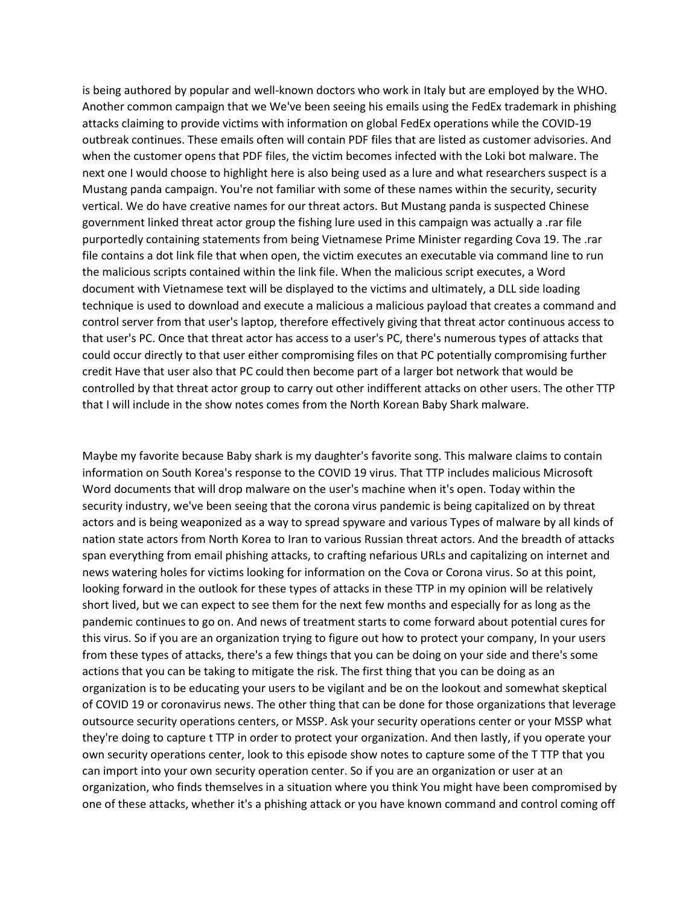is being authored by popular and well-known doctors who work in Italy but are employed by the WHO. Another common campaign that we We've been seeing his emails using the FedEx trademark in phishing attacks claiming to provide victims with information on global FedEx operations while the COVID-19 outbreak continues. These emails often will contain PDF files that are listed as customer advisories. And when the customer opens that PDF files, the victim becomes infected with the Loki bot malware. The next one I would choose to highlight here is also being used as a lure and what researchers suspect is a Mustang panda campaign. You're not familiar with some of these names within the security, security vertical. We do have creative names for our threat actors. But Mustang panda is suspected Chinese government linked threat actor group the fishing lure used in this campaign was actually a .rar file purportedly containing statements from being Vietnamese Prime Minister regarding Cova 19. The .rar file contains a dot link file that when open, the victim executes an executable via command line to run the malicious scripts contained within the link file. When the malicious script executes, a Word document with Vietnamese text will be displayed to the victims and ultimately, a DLL side loading technique is used to download and execute a malicious a malicious payload that creates a command and control server from that user's laptop, therefore effectively giving that threat actor continuous access to that user's PC. Once that threat actor has access to a user's PC, there's numerous types of attacks that could occur directly to that user either compromising files on that PC potentially compromising further credit Have that user also that PC could then become part of a larger bot network that would be controlled by that threat actor group to carry out other indifferent attacks on other users. The other TTP that I will include in the show notes comes from the North Korean Baby Shark malware.

Maybe my favorite because Baby shark is my daughter's favorite song. This malware claims to contain information on South Korea's response to the COVID 19 virus. That TTP includes malicious Microsoft Word documents that will drop malware on the user's machine when it's open. Today within the security industry, we've been seeing that the corona virus pandemic is being capitalized on by threat actors and is being weaponized as a way to spread spyware and various Types of malware by all kinds of nation state actors from North Korea to Iran to various Russian threat actors. And the breadth of attacks span everything from email phishing attacks, to crafting nefarious URLs and capitalizing on internet and news watering holes for victims looking for information on the Cova or Corona virus. So at this point, looking forward in the outlook for these types of attacks in these TTP in my opinion will be relatively short lived, but we can expect to see them for the next few months and especially for as long as the pandemic continues to go on. And news of treatment starts to come forward about potential cures for this virus. So if you are an organization trying to figure out how to protect your company, In your users from these types of attacks, there's a few things that you can be doing on your side and there's some actions that you can be taking to mitigate the risk. The first thing that you can be doing as an organization is to be educating your users to be vigilant and be on the lookout and somewhat skeptical of COVID 19 or coronavirus news. The other thing that can be done for those organizations that leverage outsource security operations centers, or MSSP. Ask your security operations center or your MSSP what they're doing to capture t TTP in order to protect your organization. And then lastly, if you operate your own security operations center, look to this episode show notes to capture some of the T TTP that you can import into your own security operation center. So if you are an organization or user at an organization, who finds themselves in a situation where you think You might have been compromised by one of these attacks, whether it's a phishing attack or you have known command and control coming off